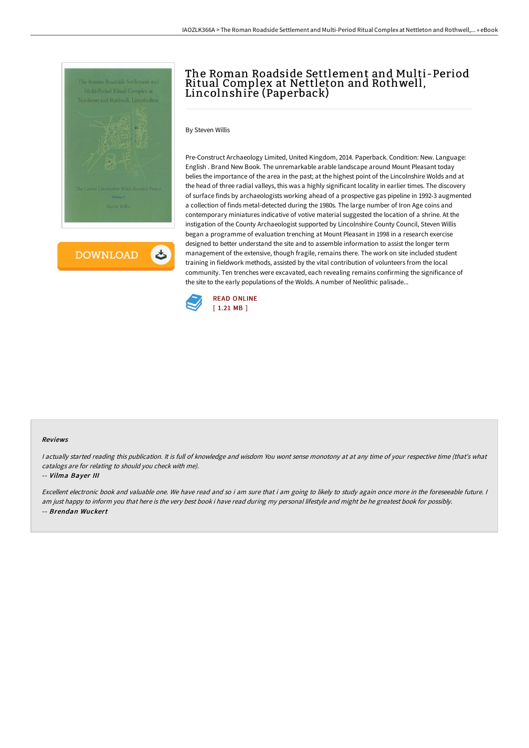

**DOWNLOAD** ٹ

# The Roman Roadside Settlement and Multi-Period Ritual Complex at Nettleton and Rothwell, Lincolnshire (Paperback)

### By Steven Willis

Pre-Construct Archaeology Limited, United Kingdom, 2014. Paperback. Condition: New. Language: English . Brand New Book. The unremarkable arable landscape around Mount Pleasant today belies the importance of the area in the past; at the highest point of the Lincolnshire Wolds and at the head of three radial valleys, this was a highly significant locality in earlier times. The discovery of surface finds by archaeologists working ahead of a prospective gas pipeline in 1992-3 augmented a collection of finds metal-detected during the 1980s. The large number of Iron Age coins and contemporary miniatures indicative of votive material suggested the location of a shrine. At the instigation of the County Archaeologist supported by Lincolnshire County Council, Steven Willis began a programme of evaluation trenching at Mount Pleasant in 1998 in a research exercise designed to better understand the site and to assemble information to assist the longer term management of the extensive, though fragile, remains there. The work on site included student training in fieldwork methods, assisted by the vital contribution of volunteers from the local community. Ten trenches were excavated, each revealing remains confirming the significance of the site to the early populations of the Wolds. A number of Neolithic palisade...



#### Reviews

I actually started reading this publication. It is full of knowledge and wisdom You wont sense monotony at at any time of your respective time (that's what catalogs are for relating to should you check with me).

### -- Vilma Bayer III

Excellent electronic book and valuable one. We have read and so i am sure that i am going to likely to study again once more in the foreseeable future. <sup>I</sup> am just happy to inform you that here is the very best book i have read during my personal lifestyle and might be he greatest book for possibly. -- Brendan Wuckert